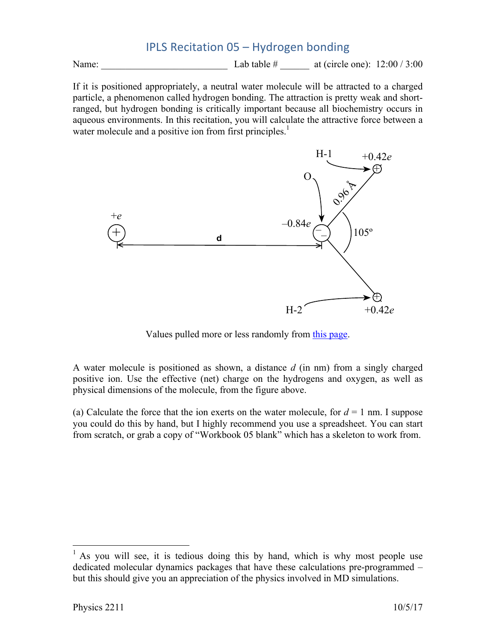## IPLS Recitation 05 – Hydrogen bonding

Name: \_\_\_\_\_\_\_\_\_\_\_\_\_\_\_\_\_\_\_\_\_\_\_\_\_\_ Lab table # \_\_\_\_\_\_ at (circle one): 12:00 / 3:00

If it is positioned appropriately, a neutral water molecule will be attracted to a charged particle, a phenomenon called hydrogen bonding. The attraction is pretty weak and shortranged, but hydrogen bonding is critically important because all biochemistry occurs in aqueous environments. In this recitation, you will calculate the attractive force between a water molecule and a positive ion from first principles.<sup>1</sup>



Values pulled more or less randomly from this page.

A water molecule is positioned as shown, a distance *d* (in nm) from a singly charged positive ion. Use the effective (net) charge on the hydrogens and oxygen, as well as physical dimensions of the molecule, from the figure above.

(a) Calculate the force that the ion exerts on the water molecule, for  $d = 1$  nm. I suppose you could do this by hand, but I highly recommend you use a spreadsheet. You can start from scratch, or grab a copy of "Workbook 05 blank" which has a skeleton to work from.

 <sup>1</sup> As you will see, it is tedious doing this by hand, which is why most people use dedicated molecular dynamics packages that have these calculations pre-programmed – but this should give you an appreciation of the physics involved in MD simulations.